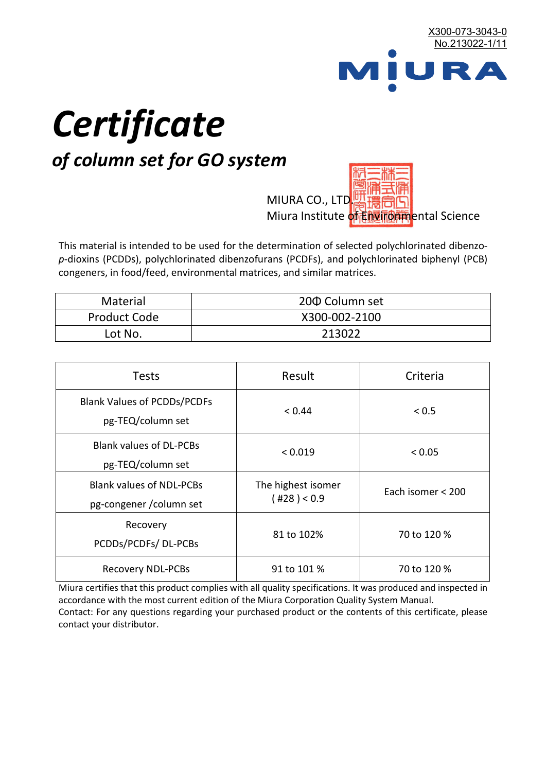

# *Certificate*

## *of column set for GO system*

MIURA CO., LTD. Miura Institute of 正版而解ental Science

This material is intended to be used for the determination of selected polychlorinated dibenzo*p*-dioxins (PCDDs), polychlorinated dibenzofurans (PCDFs), and polychlorinated biphenyl (PCB) congeners, in food/feed, environmental matrices, and similar matrices.

| <b>Material</b>     | 200 Column set |
|---------------------|----------------|
| <b>Product Code</b> | X300-002-2100  |
| Lot No.             | 213022         |

| <b>Tests</b>                                                | Result                            | Criteria          |  |
|-------------------------------------------------------------|-----------------------------------|-------------------|--|
| <b>Blank Values of PCDDs/PCDFs</b><br>pg-TEQ/column set     | < 0.44                            | < 0.5             |  |
| <b>Blank values of DL-PCBs</b><br>pg-TEQ/column set         | < 0.019                           | < 0.05            |  |
| <b>Blank values of NDL-PCBs</b><br>pg-congener / column set | The highest isomer<br>(428) < 0.9 | Each isomer < 200 |  |
| Recovery<br>PCDDs/PCDFs/DL-PCBs                             | 81 to 102%                        | 70 to 120 %       |  |
| <b>Recovery NDL-PCBs</b>                                    | 91 to 101 %                       | 70 to 120 %       |  |

Miura certifies that this product complies with all quality specifications. It was produced and inspected in accordance with the most current edition of the Miura Corporation Quality System Manual. Contact: For any questions regarding your purchased product or the contents of this certificate, please contact your distributor.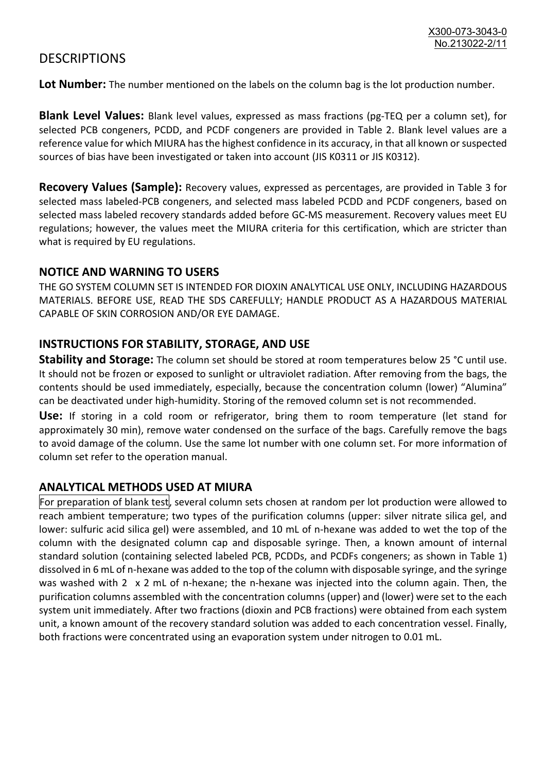### **DESCRIPTIONS**

**Lot Number:** The number mentioned on the labels on the column bag is the lot production number.

**Blank Level Values:** Blank level values, expressed as mass fractions (pg-TEQ per a column set), for selected PCB congeners, PCDD, and PCDF congeners are provided in Table 2. Blank level values are a reference value for which MIURA has the highest confidence in its accuracy, in that all known or suspected sources of bias have been investigated or taken into account (JIS K0311 or JIS K0312).

**Recovery Values (Sample):** Recovery values, expressed as percentages, are provided in Table 3 for selected mass labeled-PCB congeners, and selected mass labeled PCDD and PCDF congeners, based on selected mass labeled recovery standards added before GC-MS measurement. Recovery values meet EU regulations; however, the values meet the MIURA criteria for this certification, which are stricter than what is required by EU regulations.

#### **NOTICE AND WARNING TO USERS**

THE GO SYSTEM COLUMN SET IS INTENDED FOR DIOXIN ANALYTICAL USE ONLY, INCLUDING HAZARDOUS MATERIALS. BEFORE USE, READ THE SDS CAREFULLY; HANDLE PRODUCT AS A HAZARDOUS MATERIAL CAPABLE OF SKIN CORROSION AND/OR EYE DAMAGE.

#### **INSTRUCTIONS FOR STABILITY, STORAGE, AND USE**

**Stability and Storage:** The column set should be stored at room temperatures below 25 °C until use. It should not be frozen or exposed to sunlight or ultraviolet radiation. After removing from the bags, the contents should be used immediately, especially, because the concentration column (lower) "Alumina" can be deactivated under high-humidity. Storing of the removed column set is not recommended.

**Use:** If storing in a cold room or refrigerator, bring them to room temperature (let stand for approximately 30 min), remove water condensed on the surface of the bags. Carefully remove the bags to avoid damage of the column. Use the same lot number with one column set. For more information of column set refer to the operation manual.

#### **ANALYTICAL METHODS USED AT MIURA**

For preparation of blank test, several column sets chosen at random per lot production were allowed to reach ambient temperature; two types of the purification columns (upper: silver nitrate silica gel, and lower: sulfuric acid silica gel) were assembled, and 10 mL of n-hexane was added to wet the top of the column with the designated column cap and disposable syringe. Then, a known amount of internal standard solution (containing selected labeled PCB, PCDDs, and PCDFs congeners; as shown in Table 1) dissolved in 6 mL of n-hexane was added to the top of the column with disposable syringe, and the syringe was washed with 2 x 2 mL of n-hexane; the n-hexane was injected into the column again. Then, the purification columns assembled with the concentration columns (upper) and (lower) were set to the each system unit immediately. After two fractions (dioxin and PCB fractions) were obtained from each system unit, a known amount of the recovery standard solution was added to each concentration vessel. Finally, both fractions were concentrated using an evaporation system under nitrogen to 0.01 mL.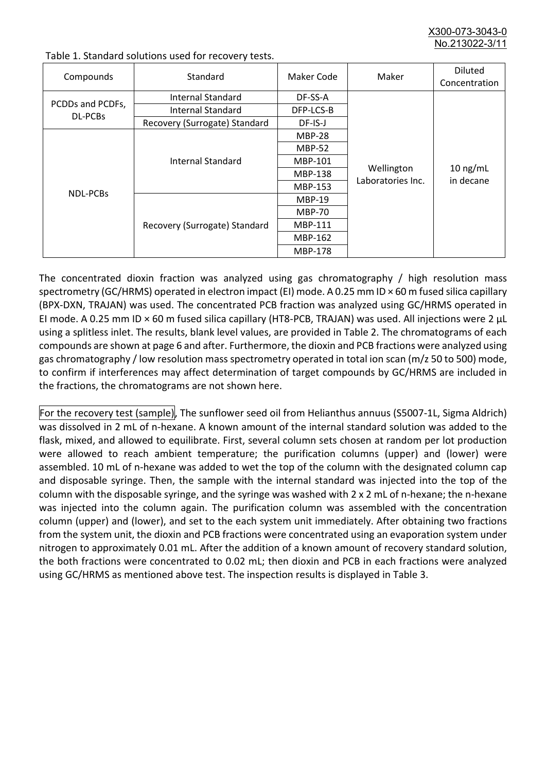X300-073-3043-0 No.213022-3/11

| Compounds        | Standard                      | Maker Code     | Maker                           | <b>Diluted</b><br>Concentration |
|------------------|-------------------------------|----------------|---------------------------------|---------------------------------|
|                  | Internal Standard             | DF-SS-A        |                                 |                                 |
| PCDDs and PCDFs, | <b>Internal Standard</b>      | DFP-LCS-B      |                                 |                                 |
| <b>DL-PCBs</b>   | Recovery (Surrogate) Standard | DF-IS-J        |                                 | $10$ ng/mL<br>in decane         |
| <b>NDL-PCBs</b>  | Internal Standard             | <b>MBP-28</b>  | Wellington<br>Laboratories Inc. |                                 |
|                  |                               | <b>MBP-52</b>  |                                 |                                 |
|                  |                               | MBP-101        |                                 |                                 |
|                  |                               | <b>MBP-138</b> |                                 |                                 |
|                  |                               | MBP-153        |                                 |                                 |
|                  | Recovery (Surrogate) Standard | <b>MBP-19</b>  |                                 |                                 |
|                  |                               | <b>MBP-70</b>  |                                 |                                 |
|                  |                               | <b>MBP-111</b> |                                 |                                 |
|                  |                               | MBP-162        |                                 |                                 |
|                  |                               | <b>MBP-178</b> |                                 |                                 |

Table 1. Standard solutions used for recovery tests.

The concentrated dioxin fraction was analyzed using gas chromatography / high resolution mass spectrometry (GC/HRMS) operated in electron impact (EI) mode. A 0.25 mm ID × 60 m fused silica capillary (BPX-DXN, TRAJAN) was used. The concentrated PCB fraction was analyzed using GC/HRMS operated in EI mode. A 0.25 mm ID × 60 m fused silica capillary (HT8-PCB, TRAJAN) was used. All injections were 2 μL using a splitless inlet. The results, blank level values, are provided in Table 2. The chromatograms of each compounds are shown at page 6 and after. Furthermore, the dioxin and PCB fractions were analyzed using gas chromatography / low resolution mass spectrometry operated in total ion scan (m/z 50 to 500) mode, to confirm if interferences may affect determination of target compounds by GC/HRMS are included in the fractions, the chromatograms are not shown here.

For the recovery test (sample), The sunflower seed oil from Helianthus annuus (S5007-1L, Sigma Aldrich) was dissolved in 2 mL of n-hexane. A known amount of the internal standard solution was added to the flask, mixed, and allowed to equilibrate. First, several column sets chosen at random per lot production were allowed to reach ambient temperature; the purification columns (upper) and (lower) were assembled. 10 mL of n-hexane was added to wet the top of the column with the designated column cap and disposable syringe. Then, the sample with the internal standard was injected into the top of the column with the disposable syringe, and the syringe was washed with 2 x 2 mL of n-hexane; the n-hexane was injected into the column again. The purification column was assembled with the concentration column (upper) and (lower), and set to the each system unit immediately. After obtaining two fractions from the system unit, the dioxin and PCB fractions were concentrated using an evaporation system under nitrogen to approximately 0.01 mL. After the addition of a known amount of recovery standard solution, the both fractions were concentrated to 0.02 mL; then dioxin and PCB in each fractions were analyzed using GC/HRMS as mentioned above test. The inspection results is displayed in Table 3.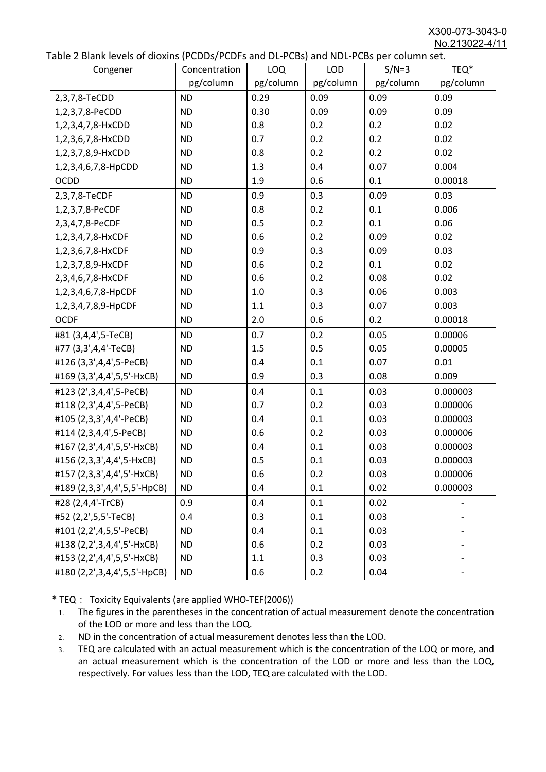X300-073-3043-0 No.213022-4/11

|  |  | Table 2 Blank levels of dioxins (PCDDs/PCDFs and DL-PCBs) and NDL-PCBs per column set. |
|--|--|----------------------------------------------------------------------------------------|
|--|--|----------------------------------------------------------------------------------------|

| able 2 Diarik levels of dioxins (FCDD3/FCDF3 and DL-FCD3) and NDL-FCD3 per column set.<br>Congener | Concentration | LOQ       | <b>LOD</b> | $S/N=3$   | TEQ*      |
|----------------------------------------------------------------------------------------------------|---------------|-----------|------------|-----------|-----------|
|                                                                                                    | pg/column     | pg/column | pg/column  | pg/column | pg/column |
| 2,3,7,8-TeCDD                                                                                      | <b>ND</b>     | 0.29      | 0.09       | 0.09      | 0.09      |
| 1,2,3,7,8-PeCDD                                                                                    | <b>ND</b>     | 0.30      | 0.09       | 0.09      | 0.09      |
| 1,2,3,4,7,8-HxCDD                                                                                  | <b>ND</b>     | 0.8       | 0.2        | 0.2       | 0.02      |
| 1,2,3,6,7,8-HxCDD                                                                                  | <b>ND</b>     | 0.7       | 0.2        | 0.2       | 0.02      |
| 1,2,3,7,8,9-HxCDD                                                                                  | <b>ND</b>     | 0.8       | 0.2        | 0.2       | 0.02      |
| 1,2,3,4,6,7,8-HpCDD                                                                                | <b>ND</b>     | 1.3       | 0.4        | 0.07      | 0.004     |
| <b>OCDD</b>                                                                                        | <b>ND</b>     | 1.9       | 0.6        | 0.1       | 0.00018   |
| 2,3,7,8-TeCDF                                                                                      | <b>ND</b>     | 0.9       | 0.3        | 0.09      | 0.03      |
| 1,2,3,7,8-PeCDF                                                                                    | <b>ND</b>     | 0.8       | 0.2        | 0.1       | 0.006     |
| 2,3,4,7,8-PeCDF                                                                                    | <b>ND</b>     | 0.5       | 0.2        | 0.1       | 0.06      |
| 1,2,3,4,7,8-HxCDF                                                                                  | <b>ND</b>     | 0.6       | 0.2        | 0.09      | 0.02      |
| 1,2,3,6,7,8-HxCDF                                                                                  | <b>ND</b>     | 0.9       | 0.3        | 0.09      | 0.03      |
| 1,2,3,7,8,9-HxCDF                                                                                  | <b>ND</b>     | 0.6       | 0.2        | 0.1       | 0.02      |
| 2,3,4,6,7,8-HxCDF                                                                                  | <b>ND</b>     | 0.6       | 0.2        | 0.08      | 0.02      |
| 1,2,3,4,6,7,8-HpCDF                                                                                | <b>ND</b>     | 1.0       | 0.3        | 0.06      | 0.003     |
| 1,2,3,4,7,8,9-HpCDF                                                                                | <b>ND</b>     | 1.1       | 0.3        | 0.07      | 0.003     |
| <b>OCDF</b>                                                                                        | <b>ND</b>     | 2.0       | 0.6        | 0.2       | 0.00018   |
| #81 (3,4,4',5-TeCB)                                                                                | <b>ND</b>     | 0.7       | 0.2        | 0.05      | 0.00006   |
| #77 (3,3',4,4'-TeCB)                                                                               | <b>ND</b>     | 1.5       | 0.5        | 0.05      | 0.00005   |
| #126 (3,3',4,4',5-PeCB)                                                                            | <b>ND</b>     | 0.4       | 0.1        | 0.07      | 0.01      |
| #169 (3,3',4,4',5,5'-HxCB)                                                                         | <b>ND</b>     | 0.9       | 0.3        | 0.08      | 0.009     |
| #123 (2',3,4,4',5-PeCB)                                                                            | <b>ND</b>     | 0.4       | 0.1        | 0.03      | 0.000003  |
| #118 (2,3',4,4',5-PeCB)                                                                            | <b>ND</b>     | 0.7       | 0.2        | 0.03      | 0.000006  |
| #105 (2,3,3',4,4'-PeCB)                                                                            | <b>ND</b>     | 0.4       | 0.1        | 0.03      | 0.000003  |
| #114 (2,3,4,4',5-PeCB)                                                                             | <b>ND</b>     | 0.6       | 0.2        | 0.03      | 0.000006  |
| #167 (2,3',4,4',5,5'-HxCB)                                                                         | <b>ND</b>     | 0.4       | 0.1        | 0.03      | 0.000003  |
| #156 (2,3,3',4,4',5-HxCB)                                                                          | <b>ND</b>     | 0.5       | 0.1        | 0.03      | 0.000003  |
| #157 (2,3,3',4,4',5'-HxCB)                                                                         | <b>ND</b>     | 0.6       | 0.2        | 0.03      | 0.000006  |
| #189 (2,3,3',4,4',5,5'-HpCB)                                                                       | <b>ND</b>     | 0.4       | 0.1        | 0.02      | 0.000003  |
| #28 (2,4,4'-TrCB)                                                                                  | 0.9           | 0.4       | 0.1        | 0.02      |           |
| #52 (2,2',5,5'-TeCB)                                                                               | 0.4           | 0.3       | 0.1        | 0.03      |           |
| #101 (2,2',4,5,5'-PeCB)                                                                            | <b>ND</b>     | 0.4       | 0.1        | 0.03      |           |
| #138 (2,2',3,4,4',5'-HxCB)                                                                         | <b>ND</b>     | 0.6       | 0.2        | 0.03      |           |
| #153 (2,2',4,4',5,5'-HxCB)                                                                         | <b>ND</b>     | 1.1       | 0.3        | 0.03      |           |
| #180 (2,2',3,4,4',5,5'-HpCB)                                                                       | <b>ND</b>     | 0.6       | 0.2        | 0.04      |           |

\* TEQ: Toxicity Equivalents (are applied WHO-TEF(2006))

- 1. The figures in the parentheses in the concentration of actual measurement denote the concentration of the LOD or more and less than the LOQ.
- 2. ND in the concentration of actual measurement denotes less than the LOD.
- 3. TEQ are calculated with an actual measurement which is the concentration of the LOQ or more, and an actual measurement which is the concentration of the LOD or more and less than the LOQ, respectively. For values less than the LOD, TEQ are calculated with the LOD.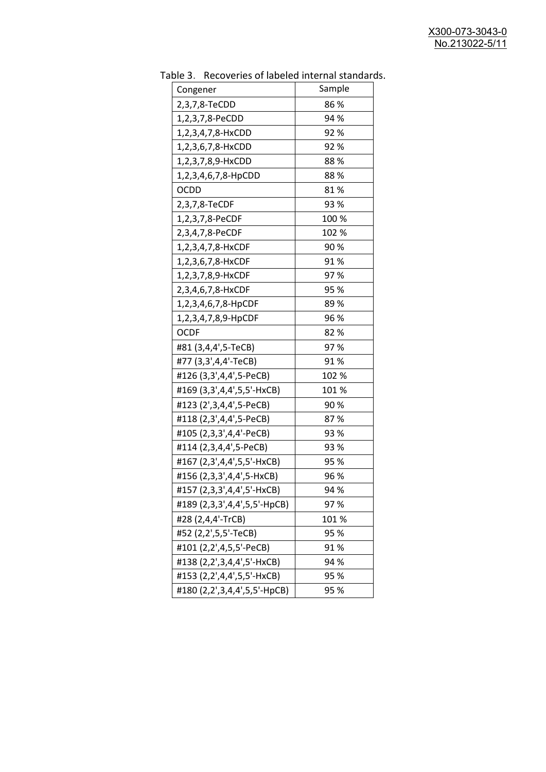| uwic J.<br><u>RECOVERTS OF RESERVANCEMENT STATION</u> |        |
|-------------------------------------------------------|--------|
| Congener                                              | Sample |
| 2,3,7,8-TeCDD                                         | 86 %   |
| 1,2,3,7,8-PeCDD                                       | 94 %   |
| 1,2,3,4,7,8-HxCDD                                     | 92%    |
| 1,2,3,6,7,8-HxCDD                                     | 92%    |
| 1,2,3,7,8,9-HxCDD                                     | 88%    |
| 1,2,3,4,6,7,8-HpCDD                                   | 88 %   |
| <b>OCDD</b>                                           | 81%    |
| 2,3,7,8-TeCDF                                         | 93 %   |
| 1,2,3,7,8-PeCDF                                       | 100 %  |
| 2,3,4,7,8-PeCDF                                       | 102 %  |
| 1,2,3,4,7,8-HxCDF                                     | 90%    |
| 1,2,3,6,7,8-HxCDF                                     | 91%    |
| 1,2,3,7,8,9-HxCDF                                     | 97%    |
| 2,3,4,6,7,8-HxCDF                                     | 95 %   |
| 1,2,3,4,6,7,8-HpCDF                                   | 89%    |
| 1,2,3,4,7,8,9-HpCDF                                   | 96 %   |
| <b>OCDF</b>                                           | 82 %   |
| #81 (3,4,4',5-TeCB)                                   | 97%    |
| #77 (3,3',4,4'-TeCB)                                  | 91%    |
| #126 (3,3',4,4',5-PeCB)                               | 102 %  |
| #169 (3,3',4,4',5,5'-HxCB)                            | 101 %  |
| #123 (2',3,4,4',5-PeCB)                               | 90%    |
| #118 (2,3',4,4',5-PeCB)                               | 87%    |
| #105 (2,3,3',4,4'-PeCB)                               | 93 %   |
| #114 (2,3,4,4',5-PeCB)                                | 93 %   |
| #167 (2,3',4,4',5,5'-HxCB)                            | 95 %   |
| #156 (2,3,3',4,4',5-HxCB)                             | 96 %   |
| #157 (2,3,3',4,4',5'-HxCB)                            | 94 %   |
| #189 (2,3,3',4,4',5,5'-HpCB)                          | 97%    |
| #28 (2,4,4'-TrCB)                                     | 101 %  |
| #52 (2,2',5,5'-TeCB)                                  | 95 %   |
| #101 (2,2',4,5,5'-PeCB)                               | 91%    |
| #138 (2,2',3,4,4',5'-HxCB)                            | 94 %   |
| #153 (2,2',4,4',5,5'-HxCB)                            | 95 %   |
| #180 (2,2',3,4,4',5,5'-HpCB)                          | 95 %   |

Table 3. Recoveries of labeled internal standards.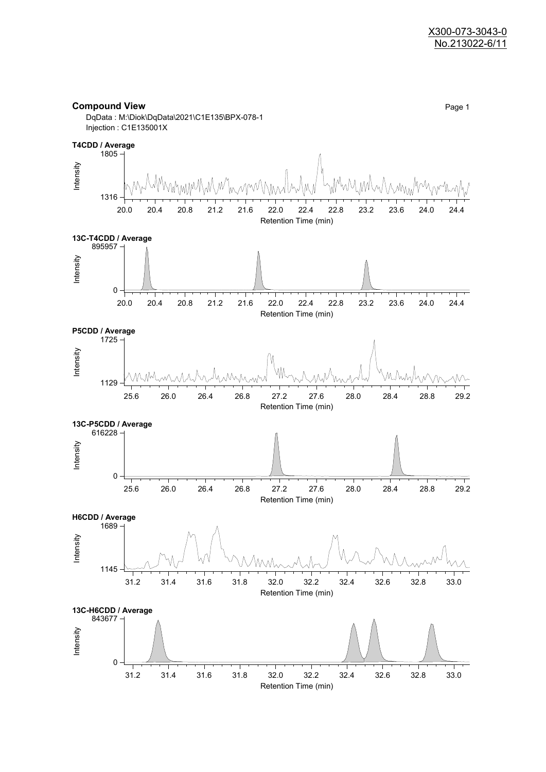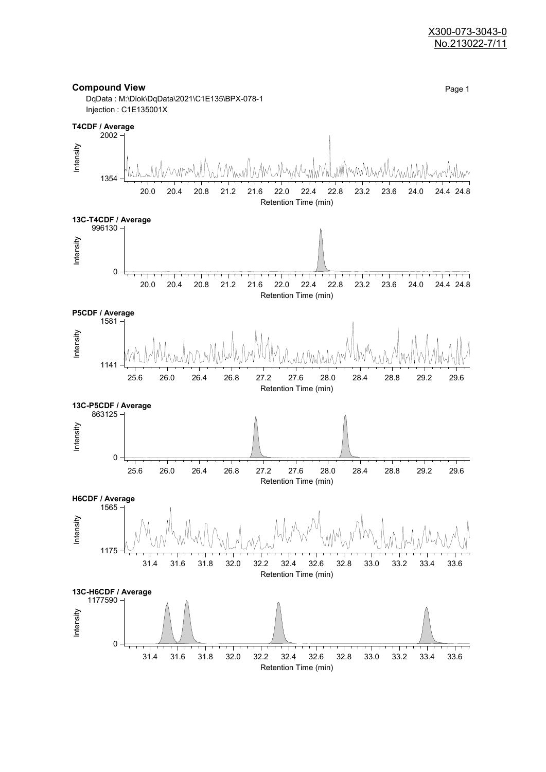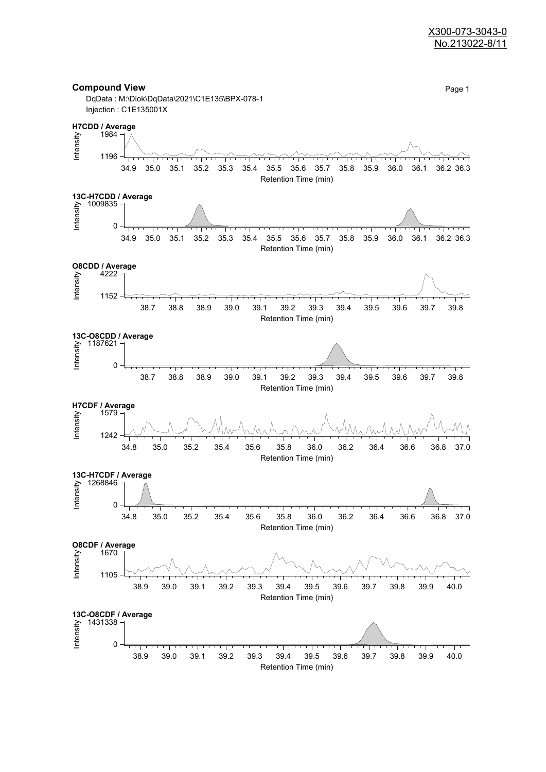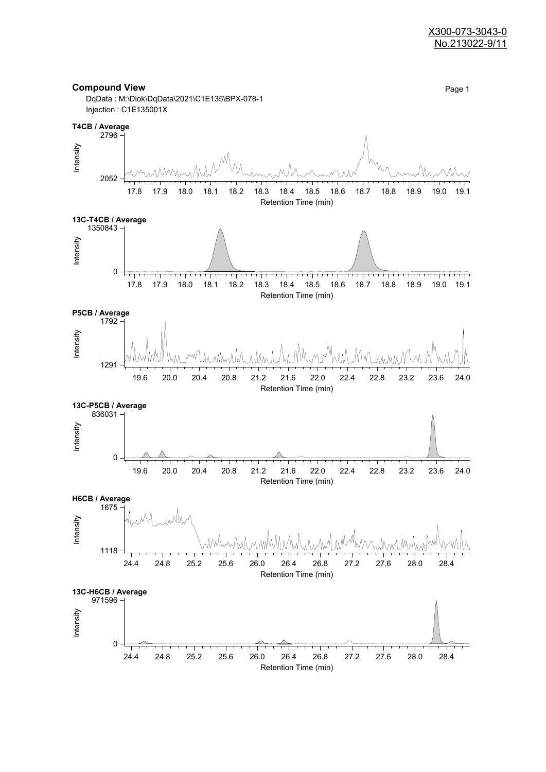



Injection : C1E135001X

2052

Intensity

 $2796 -$ 

**T4CB / Average**







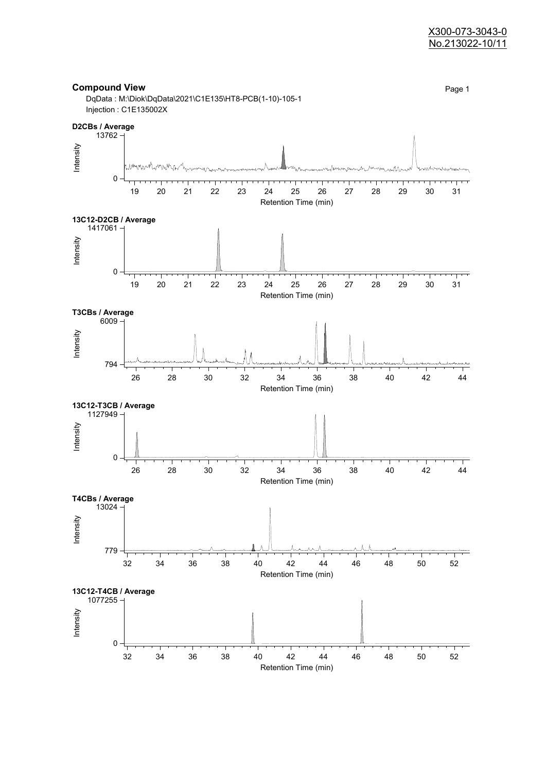